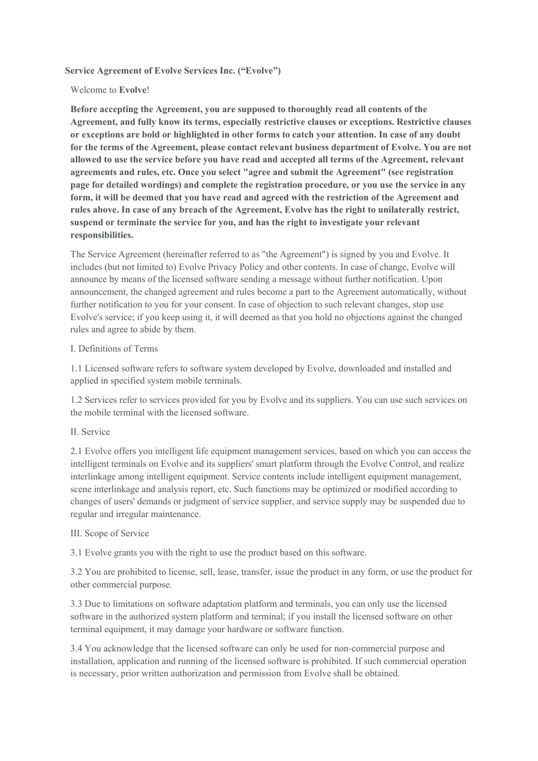## **Service Agreement of Evolve Services Inc. ("Evolve")**

### Welcome to **Evolve**!

**Before accepting the Agreement, you are supposed to thoroughly read all contents of the Agreement, and fully know its terms, especially restrictive clauses or exceptions. Restrictive clauses or exceptions are bold or highlighted in other forms to catch your attention. In case of any doubt for the terms of the Agreement, please contact relevant business department of Evolve. You are not allowed to use the service before you have read and accepted all terms of the Agreement, relevant agreements and rules, etc. Once you select "agree and submit the Agreement" (see registration page for detailed wordings) and complete the registration procedure, or you use the service in any form, it will be deemed that you have read and agreed with the restriction of the Agreement and rules above. In case of any breach of the Agreement, Evolve has the right to unilaterally restrict, suspend or terminate the service for you, and has the right to investigate your relevant responsibilities.**

The Service Agreement (hereinafter referred to as "the Agreement") is signed by you and Evolve. It includes (but not limited to) Evolve Privacy Policy and other contents. In case of change, Evolve will announce by means of the licensed software sending a message without further notification. Upon announcement, the changed agreement and rules become a part to the Agreement automatically, without further notification to you for your consent. In case of objection to such relevant changes, stop use Evolve's service; if you keep using it, it will deemed as that you hold no objections against the changed rules and agree to abide by them.

### I. Definitions of Terms

1.1 Licensed software refers to software system developed by Evolve, downloaded and installed and applied in specified system mobile terminals.

1.2 Services refer to services provided for you by Evolve and its suppliers. You can use such services on the mobile terminal with the licensed software.

### II. Service

2.1 Evolve offers you intelligent life equipment management services, based on which you can access the intelligent terminals on Evolve and its suppliers' smart platform through the Evolve Control, and realize interlinkage among intelligent equipment. Service contents include intelligent equipment management, scene interlinkage and analysis report, etc. Such functions may be optimized or modified according to changes of users' demands or judgment of service supplier, and service supply may be suspended due to regular and irregular maintenance.

### III. Scope of Service

3.1 Evolve grants you with the right to use the product based on this software.

3.2 You are prohibited to license, sell, lease, transfer, issue the product in any form, or use the product for other commercial purpose.

3.3 Due to limitations on software adaptation platform and terminals, you can only use the licensed software in the authorized system platform and terminal; if you install the licensed software on other terminal equipment, it may damage your hardware or software function.

3.4 You acknowledge that the licensed software can only be used for non-commercial purpose and installation, application and running of the licensed software is prohibited. If such commercial operation is necessary, prior written authorization and permission from Evolve shall be obtained.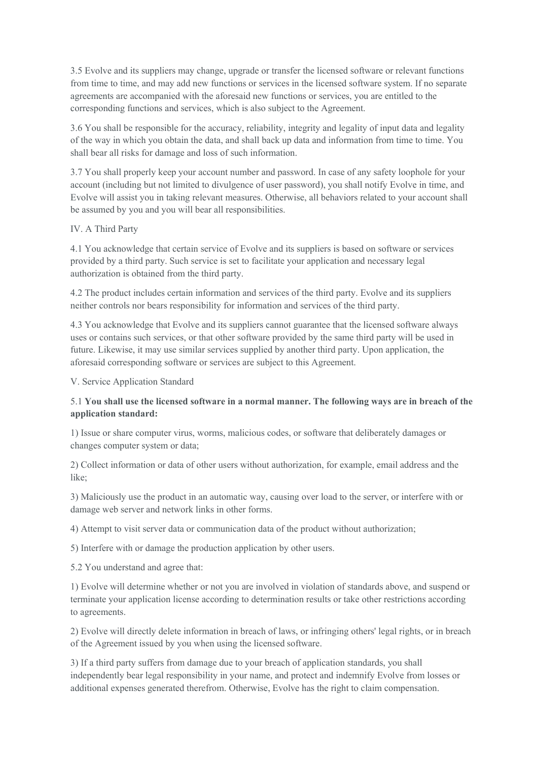3.5 Evolve and its suppliers may change, upgrade or transfer the licensed software or relevant functions from time to time, and may add new functions or services in the licensed software system. If no separate agreements are accompanied with the aforesaid new functions or services, you are entitled to the corresponding functions and services, which is also subject to the Agreement.

3.6 You shall be responsible for the accuracy, reliability, integrity and legality of input data and legality of the way in which you obtain the data, and shall back up data and information from time to time. You shall bear all risks for damage and loss of such information.

3.7 You shall properly keep your account number and password. In case of any safety loophole for your account (including but not limited to divulgence of user password), you shall notify Evolve in time, and Evolve will assist you in taking relevant measures. Otherwise, all behaviors related to your account shall be assumed by you and you will bear all responsibilities.

### IV. A Third Party

4.1 You acknowledge that certain service of Evolve and its suppliers is based on software or services provided by a third party. Such service is set to facilitate your application and necessary legal authorization is obtained from the third party.

4.2 The product includes certain information and services of the third party. Evolve and its suppliers neither controls nor bears responsibility for information and services of the third party.

4.3 You acknowledge that Evolve and its suppliers cannot guarantee that the licensed software always uses or contains such services, or that other software provided by the same third party will be used in future. Likewise, it may use similar services supplied by another third party. Upon application, the aforesaid corresponding software or services are subject to this Agreement.

V. Service Application Standard

# 5.1 **You shall use the licensed software in a normal manner. The following ways are in breach of the application standard:**

1) Issue or share computer virus, worms, malicious codes, or software that deliberately damages or changes computer system or data;

2) Collect information or data of other users without authorization, for example, email address and the like;

3) Maliciously use the product in an automatic way, causing over load to the server, or interfere with or damage web server and network links in other forms.

4) Attempt to visit server data or communication data of the product without authorization;

5) Interfere with or damage the production application by other users.

5.2 You understand and agree that:

1) Evolve will determine whether or not you are involved in violation of standards above, and suspend or terminate your application license according to determination results or take other restrictions according to agreements.

2) Evolve will directly delete information in breach of laws, or infringing others' legal rights, or in breach of the Agreement issued by you when using the licensed software.

3) If a third party suffers from damage due to your breach of application standards, you shall independently bear legal responsibility in your name, and protect and indemnify Evolve from losses or additional expenses generated therefrom. Otherwise, Evolve has the right to claim compensation.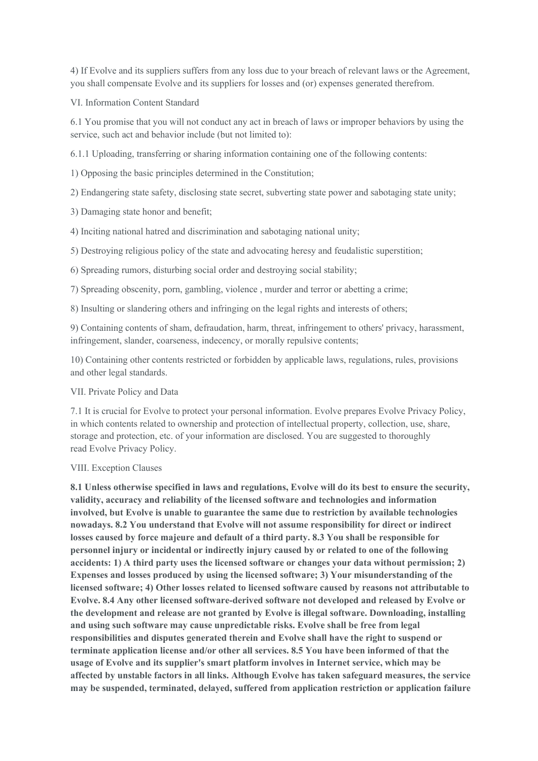4) If Evolve and its suppliers suffers from any loss due to your breach of relevant laws or the Agreement, you shall compensate Evolve and its suppliers for losses and (or) expenses generated therefrom.

VI. Information Content Standard

6.1 You promise that you will not conduct any act in breach of laws or improper behaviors by using the service, such act and behavior include (but not limited to):

6.1.1 Uploading, transferring or sharing information containing one of the following contents:

1) Opposing the basic principles determined in the Constitution;

2) Endangering state safety, disclosing state secret, subverting state power and sabotaging state unity;

3) Damaging state honor and benefit;

4) Inciting national hatred and discrimination and sabotaging national unity;

5) Destroying religious policy of the state and advocating heresy and feudalistic superstition;

6) Spreading rumors, disturbing social order and destroying social stability;

7) Spreading obscenity, porn, gambling, violence , murder and terror or abetting a crime;

8) Insulting or slandering others and infringing on the legal rights and interests of others;

9) Containing contents of sham, defraudation, harm, threat, infringement to others' privacy, harassment, infringement, slander, coarseness, indecency, or morally repulsive contents;

10) Containing other contents restricted or forbidden by applicable laws, regulations, rules, provisions and other legal standards.

#### VII. Private Policy and Data

7.1 It is crucial for Evolve to protect your personal information. Evolve prepares Evolve Privacy Policy, in which contents related to ownership and protection of intellectual property, collection, use, share, storage and protection, etc. of your information are disclosed. You are suggested to thoroughly read Evolve Privacy Policy.

#### VIII. Exception Clauses

**8.1 Unless otherwise specified in laws and regulations, Evolve will do its best to ensure the security, validity, accuracy and reliability of the licensed software and technologies and information involved, but Evolve is unable to guarantee the same due to restriction by available technologies nowadays. 8.2 You understand that Evolve will not assume responsibility for direct or indirect losses caused by force majeure and default of a third party. 8.3 You shall be responsible for personnel injury or incidental or indirectly injury caused by or related to one of the following accidents: 1) A third party uses the licensed software or changes your data without permission; 2) Expenses and losses produced by using the licensed software; 3) Your misunderstanding of the licensed software; 4) Other losses related to licensed software caused by reasons not attributable to Evolve. 8.4 Any other licensed software-derived software not developed and released by Evolve or the development and release are not granted by Evolve is illegal software. Downloading, installing and using such software may cause unpredictable risks. Evolve shall be free from legal responsibilities and disputes generated therein and Evolve shall have the right to suspend or terminate application license and/or other all services. 8.5 You have been informed of that the usage of Evolve and its supplier's smart platform involves in Internet service, which may be affected by unstable factors in all links. Although Evolve has taken safeguard measures, the service may be suspended, terminated, delayed, suffered from application restriction or application failure**